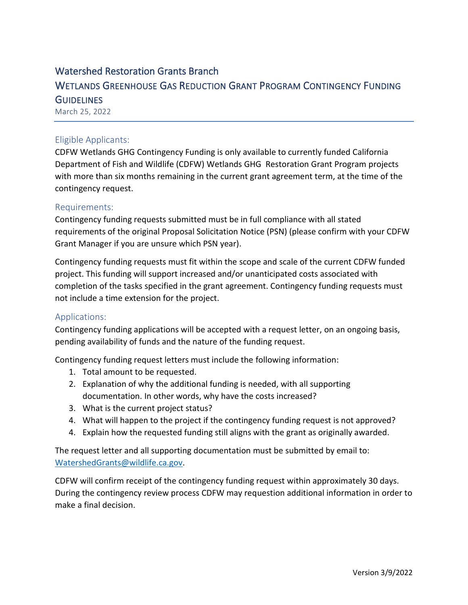# Watershed Restoration Grants Branch WETLANDS GREENHOUSE GAS REDUCTION GRANT PROGRAM CONTINGENCY FUNDING **GUIDELINES** March 25, 2022

### Eligible Applicants:

CDFW Wetlands GHG Contingency Funding is only available to currently funded California Department of Fish and Wildlife (CDFW) Wetlands GHG Restoration Grant Program projects with more than six months remaining in the current grant agreement term, at the time of the contingency request.

#### Requirements:

Contingency funding requests submitted must be in full compliance with all stated requirements of the original Proposal Solicitation Notice (PSN) (please confirm with your CDFW Grant Manager if you are unsure which PSN year).

Contingency funding requests must fit within the scope and scale of the current CDFW funded project. This funding will support increased and/or unanticipated costs associated with completion of the tasks specified in the grant agreement. Contingency funding requests must not include a time extension for the project.

#### Applications:

Contingency funding applications will be accepted with a request letter, on an ongoing basis, pending availability of funds and the nature of the funding request.

Contingency funding request letters must include the following information:

- 1. Total amount to be requested.
- 2. Explanation of why the additional funding is needed, with all supporting documentation. In other words, why have the costs increased?
- 3. What is the current project status?
- 4. What will happen to the project if the contingency funding request is not approved?
- 4. Explain how the requested funding still aligns with the grant as originally awarded.

The request letter and all supporting documentation must be submitted by email to: [WatershedGrants@wildlife.ca.gov.](mailto:WatershedGrants@wildlife.ca.gov)

CDFW will confirm receipt of the contingency funding request within approximately 30 days. During the contingency review process CDFW may requestion additional information in order to make a final decision.